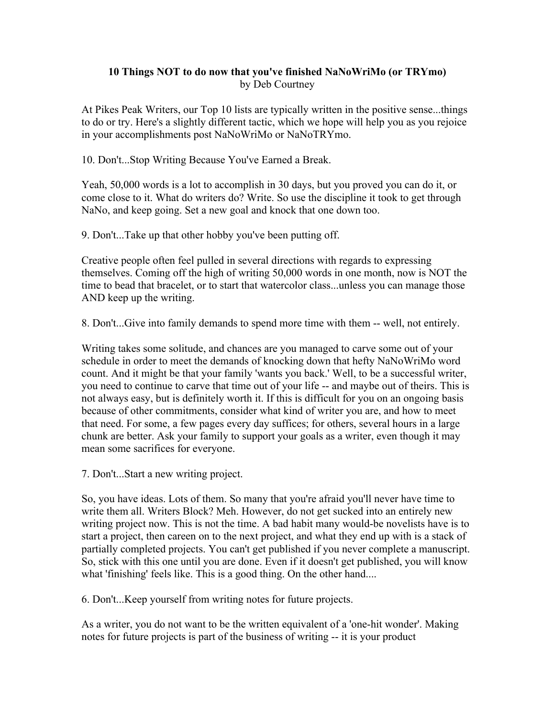## **10 Things NOT to do now that you've finished NaNoWriMo (or TRYmo)**  by Deb Courtney

At Pikes Peak Writers, our Top 10 lists are typically written in the positive sense...things to do or try. Here's a slightly different tactic, which we hope will help you as you rejoice in your accomplishments post NaNoWriMo or NaNoTRYmo.

10. Don't...Stop Writing Because You've Earned a Break.

Yeah, 50,000 words is a lot to accomplish in 30 days, but you proved you can do it, or come close to it. What do writers do? Write. So use the discipline it took to get through NaNo, and keep going. Set a new goal and knock that one down too.

9. Don't...Take up that other hobby you've been putting off.

Creative people often feel pulled in several directions with regards to expressing themselves. Coming off the high of writing 50,000 words in one month, now is NOT the time to bead that bracelet, or to start that watercolor class...unless you can manage those AND keep up the writing.

8. Don't...Give into family demands to spend more time with them -- well, not entirely.

Writing takes some solitude, and chances are you managed to carve some out of your schedule in order to meet the demands of knocking down that hefty NaNoWriMo word count. And it might be that your family 'wants you back.' Well, to be a successful writer, you need to continue to carve that time out of your life -- and maybe out of theirs. This is not always easy, but is definitely worth it. If this is difficult for you on an ongoing basis because of other commitments, consider what kind of writer you are, and how to meet that need. For some, a few pages every day suffices; for others, several hours in a large chunk are better. Ask your family to support your goals as a writer, even though it may mean some sacrifices for everyone.

7. Don't...Start a new writing project.

So, you have ideas. Lots of them. So many that you're afraid you'll never have time to write them all. Writers Block? Meh. However, do not get sucked into an entirely new writing project now. This is not the time. A bad habit many would-be novelists have is to start a project, then careen on to the next project, and what they end up with is a stack of partially completed projects. You can't get published if you never complete a manuscript. So, stick with this one until you are done. Even if it doesn't get published, you will know what 'finishing' feels like. This is a good thing. On the other hand....

6. Don't...Keep yourself from writing notes for future projects.

As a writer, you do not want to be the written equivalent of a 'one-hit wonder'. Making notes for future projects is part of the business of writing -- it is your product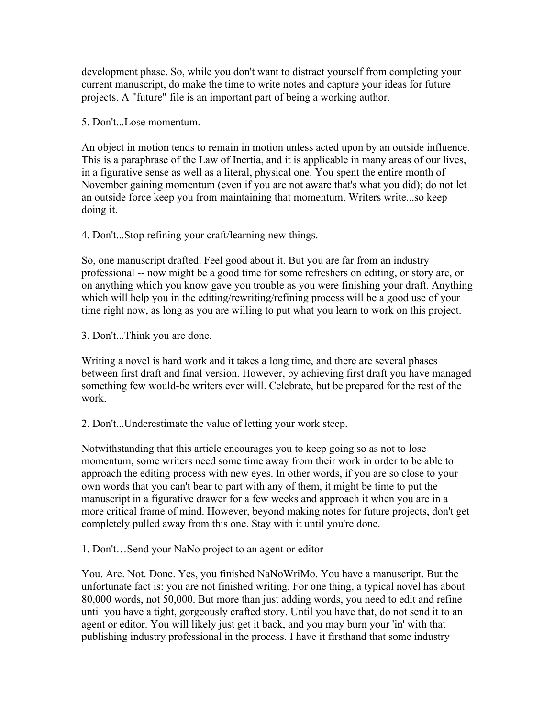development phase. So, while you don't want to distract yourself from completing your current manuscript, do make the time to write notes and capture your ideas for future projects. A "future" file is an important part of being a working author.

5. Don't. Lose momentum.

An object in motion tends to remain in motion unless acted upon by an outside influence. This is a paraphrase of the Law of Inertia, and it is applicable in many areas of our lives, in a figurative sense as well as a literal, physical one. You spent the entire month of November gaining momentum (even if you are not aware that's what you did); do not let an outside force keep you from maintaining that momentum. Writers write...so keep doing it.

4. Don't...Stop refining your craft/learning new things.

So, one manuscript drafted. Feel good about it. But you are far from an industry professional -- now might be a good time for some refreshers on editing, or story arc, or on anything which you know gave you trouble as you were finishing your draft. Anything which will help you in the editing/rewriting/refining process will be a good use of your time right now, as long as you are willing to put what you learn to work on this project.

3. Don't...Think you are done.

Writing a novel is hard work and it takes a long time, and there are several phases between first draft and final version. However, by achieving first draft you have managed something few would-be writers ever will. Celebrate, but be prepared for the rest of the work.

2. Don't...Underestimate the value of letting your work steep.

Notwithstanding that this article encourages you to keep going so as not to lose momentum, some writers need some time away from their work in order to be able to approach the editing process with new eyes. In other words, if you are so close to your own words that you can't bear to part with any of them, it might be time to put the manuscript in a figurative drawer for a few weeks and approach it when you are in a more critical frame of mind. However, beyond making notes for future projects, don't get completely pulled away from this one. Stay with it until you're done.

1. Don't…Send your NaNo project to an agent or editor

You. Are. Not. Done. Yes, you finished NaNoWriMo. You have a manuscript. But the unfortunate fact is: you are not finished writing. For one thing, a typical novel has about 80,000 words, not 50,000. But more than just adding words, you need to edit and refine until you have a tight, gorgeously crafted story. Until you have that, do not send it to an agent or editor. You will likely just get it back, and you may burn your 'in' with that publishing industry professional in the process. I have it firsthand that some industry